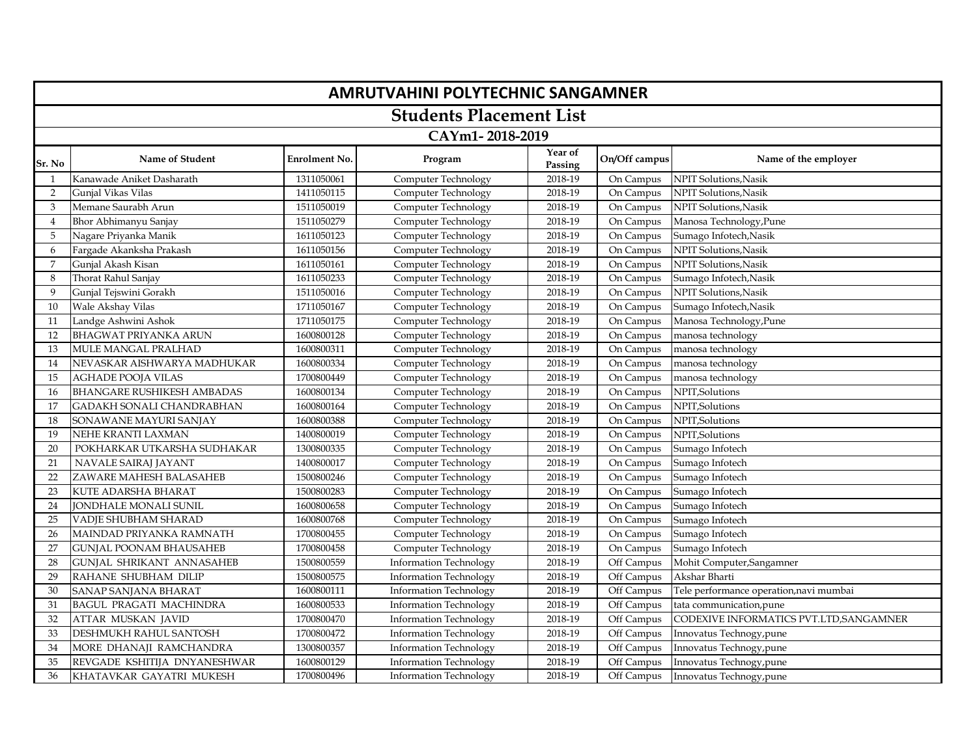|                | <b>AMRUTVAHINI POLYTECHNIC SANGAMNER</b> |                      |                               |                    |               |                                         |  |  |  |
|----------------|------------------------------------------|----------------------|-------------------------------|--------------------|---------------|-----------------------------------------|--|--|--|
|                | <b>Students Placement List</b>           |                      |                               |                    |               |                                         |  |  |  |
|                | CAYm1-2018-2019                          |                      |                               |                    |               |                                         |  |  |  |
| Sr. No         | Name of Student                          | <b>Enrolment No.</b> | Program                       | Year of<br>Passing | On/Off campus | Name of the employer                    |  |  |  |
| -1             | Kanawade Aniket Dasharath                | 1311050061           | Computer Technology           | 2018-19            | On Campus     | NPIT Solutions, Nasik                   |  |  |  |
| 2              | Gunjal Vikas Vilas                       | 1411050115           | Computer Technology           | 2018-19            | On Campus     | NPIT Solutions, Nasik                   |  |  |  |
| 3              | Memane Saurabh Arun                      | 1511050019           | Computer Technology           | 2018-19            | On Campus     | NPIT Solutions, Nasik                   |  |  |  |
| $\overline{4}$ | Bhor Abhimanyu Sanjay                    | 1511050279           | Computer Technology           | 2018-19            | On Campus     | Manosa Technology, Pune                 |  |  |  |
| 5              | Nagare Priyanka Manik                    | 1611050123           | Computer Technology           | 2018-19            | On Campus     | Sumago Infotech, Nasik                  |  |  |  |
| 6              | Fargade Akanksha Prakash                 | 1611050156           | Computer Technology           | 2018-19            | On Campus     | NPIT Solutions, Nasik                   |  |  |  |
| 7              | Gunjal Akash Kisan                       | 1611050161           | Computer Technology           | 2018-19            | On Campus     | NPIT Solutions, Nasik                   |  |  |  |
| 8              | Thorat Rahul Sanjay                      | 1611050233           | Computer Technology           | 2018-19            | On Campus     | Sumago Infotech, Nasik                  |  |  |  |
| 9              | Gunjal Tejswini Gorakh                   | 1511050016           | Computer Technology           | 2018-19            | On Campus     | NPIT Solutions, Nasik                   |  |  |  |
| 10             | Wale Akshay Vilas                        | 1711050167           | Computer Technology           | 2018-19            | On Campus     | Sumago Infotech, Nasik                  |  |  |  |
| 11             | Landge Ashwini Ashok                     | 1711050175           | Computer Technology           | 2018-19            | On Campus     | Manosa Technology, Pune                 |  |  |  |
| 12             | <b>BHAGWAT PRIYANKA ARUN</b>             | 1600800128           | Computer Technology           | 2018-19            | On Campus     | manosa technology                       |  |  |  |
| 13             | MULE MANGAL PRALHAD                      | 1600800311           | Computer Technology           | 2018-19            | On Campus     | manosa technology                       |  |  |  |
| 14             | NEVASKAR AISHWARYA MADHUKAR              | 1600800334           | Computer Technology           | 2018-19            | On Campus     | manosa technology                       |  |  |  |
| 15             | <b>AGHADE POOJA VILAS</b>                | 1700800449           | Computer Technology           | 2018-19            | On Campus     | manosa technology                       |  |  |  |
| 16             | <b>BHANGARE RUSHIKESH AMBADAS</b>        | 1600800134           | Computer Technology           | 2018-19            | On Campus     | NPIT, Solutions                         |  |  |  |
| 17             | <b>GADAKH SONALI CHANDRABHAN</b>         | 1600800164           | Computer Technology           | 2018-19            | On Campus     | NPIT, Solutions                         |  |  |  |
| 18             | SONAWANE MAYURI SANJAY                   | 1600800388           | Computer Technology           | 2018-19            | On Campus     | NPIT, Solutions                         |  |  |  |
| 19             | NEHE KRANTI LAXMAN                       | 1400800019           | Computer Technology           | 2018-19            | On Campus     | NPIT, Solutions                         |  |  |  |
| 20             | POKHARKAR UTKARSHA SUDHAKAR              | 1300800335           | Computer Technology           | 2018-19            | On Campus     | Sumago Infotech                         |  |  |  |
| 21             | NAVALE SAIRAJ JAYANT                     | 1400800017           | Computer Technology           | 2018-19            | On Campus     | Sumago Infotech                         |  |  |  |
| 22             | ZAWARE MAHESH BALASAHEB                  | 1500800246           | Computer Technology           | 2018-19            | On Campus     | Sumago Infotech                         |  |  |  |
| 23             | <b>KUTE ADARSHA BHARAT</b>               | 1500800283           | Computer Technology           | 2018-19            | On Campus     | Sumago Infotech                         |  |  |  |
| 24             | JONDHALE MONALI SUNIL                    | 1600800658           | Computer Technology           | 2018-19            | On Campus     | Sumago Infotech                         |  |  |  |
| 25             | VADJE SHUBHAM SHARAD                     | 1600800768           | Computer Technology           | 2018-19            | On Campus     | Sumago Infotech                         |  |  |  |
| 26             | MAINDAD PRIYANKA RAMNATH                 | 1700800455           | Computer Technology           | 2018-19            | On Campus     | Sumago Infotech                         |  |  |  |
| 27             | <b>GUNJAL POONAM BHAUSAHEB</b>           | 1700800458           | Computer Technology           | 2018-19            | On Campus     | Sumago Infotech                         |  |  |  |
| 28             | <b>GUNJAL SHRIKANT ANNASAHEB</b>         | 1500800559           | <b>Information Technology</b> | 2018-19            | Off Campus    | Mohit Computer, Sangamner               |  |  |  |
| 29             | RAHANE SHUBHAM DILIP                     | 1500800575           | <b>Information Technology</b> | 2018-19            | Off Campus    | Akshar Bharti                           |  |  |  |
| 30             | SANAP SANJANA BHARAT                     | 1600800111           | <b>Information Technology</b> | 2018-19            | Off Campus    | Tele performance operation, navi mumbai |  |  |  |
| 31             | <b>BAGUL PRAGATI MACHINDRA</b>           | 1600800533           | <b>Information Technology</b> | 2018-19            | Off Campus    | tata communication, pune                |  |  |  |
| 32             | ATTAR MUSKAN JAVID                       | 1700800470           | <b>Information Technology</b> | 2018-19            | Off Campus    | CODEXIVE INFORMATICS PVT.LTD, SANGAMNER |  |  |  |
| 33             | DESHMUKH RAHUL SANTOSH                   | 1700800472           | <b>Information Technology</b> | 2018-19            | Off Campus    | Innovatus Technogy, pune                |  |  |  |
| 34             | MORE DHANAJI RAMCHANDRA                  | 1300800357           | <b>Information Technology</b> | 2018-19            | Off Campus    | Innovatus Technogy, pune                |  |  |  |
| 35             | REVGADE KSHITIJA DNYANESHWAR             | 1600800129           | <b>Information Technology</b> | 2018-19            | Off Campus    | Innovatus Technogy, pune                |  |  |  |
| 36             | KHATAVKAR GAYATRI MUKESH                 | 1700800496           | <b>Information Technology</b> | 2018-19            | Off Campus    | Innovatus Technogy, pune                |  |  |  |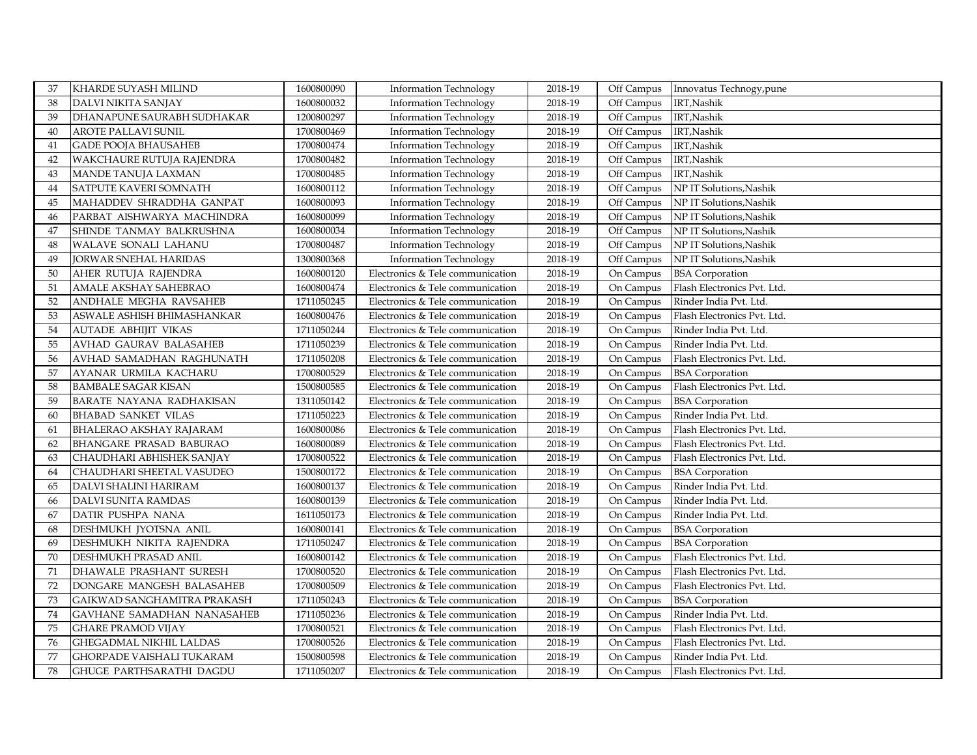| 37 | <b>KHARDE SUYASH MILIND</b>      | 1600800090 | <b>Information Technology</b>    | 2018-19 | Off Campus | Innovatus Technogy, pune    |
|----|----------------------------------|------------|----------------------------------|---------|------------|-----------------------------|
| 38 | DALVI NIKITA SANJAY              | 1600800032 | Information Technology           | 2018-19 | Off Campus | IRT, Nashik                 |
| 39 | DHANAPUNE SAURABH SUDHAKAR       | 1200800297 | <b>Information Technology</b>    | 2018-19 | Off Campus | IRT, Nashik                 |
| 40 | AROTE PALLAVI SUNIL              | 1700800469 | <b>Information Technology</b>    | 2018-19 | Off Campus | IRT, Nashik                 |
| 41 | <b>GADE POOJA BHAUSAHEB</b>      | 1700800474 | <b>Information Technology</b>    | 2018-19 | Off Campus | IRT, Nashik                 |
| 42 | WAKCHAURE RUTUJA RAJENDRA        | 1700800482 | <b>Information Technology</b>    | 2018-19 | Off Campus | IRT, Nashik                 |
| 43 | MANDE TANUJA LAXMAN              | 1700800485 | <b>Information Technology</b>    | 2018-19 | Off Campus | IRT, Nashik                 |
| 44 | SATPUTE KAVERI SOMNATH           | 1600800112 | <b>Information Technology</b>    | 2018-19 | Off Campus | NP IT Solutions, Nashik     |
| 45 | MAHADDEV SHRADDHA GANPAT         | 1600800093 | <b>Information Technology</b>    | 2018-19 | Off Campus | NP IT Solutions, Nashik     |
| 46 | PARBAT AISHWARYA MACHINDRA       | 1600800099 | <b>Information Technology</b>    | 2018-19 | Off Campus | NP IT Solutions, Nashik     |
| 47 | SHINDE TANMAY BALKRUSHNA         | 1600800034 | <b>Information Technology</b>    | 2018-19 | Off Campus | NP IT Solutions, Nashik     |
| 48 | WALAVE SONALI LAHANU             | 1700800487 | <b>Information Technology</b>    | 2018-19 | Off Campus | NP IT Solutions, Nashik     |
| 49 | <b>JORWAR SNEHAL HARIDAS</b>     | 1300800368 | <b>Information Technology</b>    | 2018-19 | Off Campus | NP IT Solutions, Nashik     |
| 50 | AHER RUTUJA RAJENDRA             | 1600800120 | Electronics & Tele communication | 2018-19 | On Campus  | <b>BSA</b> Corporation      |
| 51 | AMALE AKSHAY SAHEBRAO            | 1600800474 | Electronics & Tele communication | 2018-19 | On Campus  | Flash Electronics Pvt. Ltd. |
| 52 | ANDHALE MEGHA RAVSAHEB           | 1711050245 | Electronics & Tele communication | 2018-19 | On Campus  | Rinder India Pvt. Ltd.      |
| 53 | ASWALE ASHISH BHIMASHANKAR       | 1600800476 | Electronics & Tele communication | 2018-19 | On Campus  | Flash Electronics Pvt. Ltd. |
| 54 | AUTADE ABHIJIT VIKAS             | 1711050244 | Electronics & Tele communication | 2018-19 | On Campus  | Rinder India Pvt. Ltd.      |
| 55 | AVHAD GAURAV BALASAHEB           | 1711050239 | Electronics & Tele communication | 2018-19 | On Campus  | Rinder India Pvt. Ltd.      |
| 56 | AVHAD SAMADHAN RAGHUNATH         | 1711050208 | Electronics & Tele communication | 2018-19 | On Campus  | Flash Electronics Pvt. Ltd. |
| 57 | AYANAR URMILA KACHARU            | 1700800529 | Electronics & Tele communication | 2018-19 | On Campus  | <b>BSA</b> Corporation      |
| 58 | <b>BAMBALE SAGAR KISAN</b>       | 1500800585 | Electronics & Tele communication | 2018-19 | On Campus  | Flash Electronics Pvt. Ltd. |
| 59 | <b>BARATE NAYANA RADHAKISAN</b>  | 1311050142 | Electronics & Tele communication | 2018-19 | On Campus  | <b>BSA</b> Corporation      |
| 60 | <b>BHABAD SANKET VILAS</b>       | 1711050223 | Electronics & Tele communication | 2018-19 | On Campus  | Rinder India Pvt. Ltd.      |
| 61 | <b>BHALERAO AKSHAY RAJARAM</b>   | 1600800086 | Electronics & Tele communication | 2018-19 | On Campus  | Flash Electronics Pvt. Ltd. |
| 62 | BHANGARE PRASAD BABURAO          | 1600800089 | Electronics & Tele communication | 2018-19 | On Campus  | Flash Electronics Pvt. Ltd. |
| 63 | CHAUDHARI ABHISHEK SANJAY        | 1700800522 | Electronics & Tele communication | 2018-19 | On Campus  | Flash Electronics Pvt. Ltd. |
| 64 | CHAUDHARI SHEETAL VASUDEO        | 1500800172 | Electronics & Tele communication | 2018-19 | On Campus  | <b>BSA</b> Corporation      |
| 65 | DALVI SHALINI HARIRAM            | 1600800137 | Electronics & Tele communication | 2018-19 | On Campus  | Rinder India Pvt. Ltd.      |
| 66 | DALVI SUNITA RAMDAS              | 1600800139 | Electronics & Tele communication | 2018-19 | On Campus  | Rinder India Pvt. Ltd.      |
| 67 | DATIR PUSHPA NANA                | 1611050173 | Electronics & Tele communication | 2018-19 | On Campus  | Rinder India Pvt. Ltd.      |
| 68 | DESHMUKH JYOTSNA ANIL            | 1600800141 | Electronics & Tele communication | 2018-19 | On Campus  | <b>BSA</b> Corporation      |
| 69 | DESHMUKH NIKITA RAJENDRA         | 1711050247 | Electronics & Tele communication | 2018-19 | On Campus  | <b>BSA</b> Corporation      |
| 70 | DESHMUKH PRASAD ANIL             | 1600800142 | Electronics & Tele communication | 2018-19 | On Campus  | Flash Electronics Pvt. Ltd. |
| 71 | DHAWALE PRASHANT SURESH          | 1700800520 | Electronics & Tele communication | 2018-19 | On Campus  | Flash Electronics Pvt. Ltd. |
| 72 | DONGARE MANGESH BALASAHEB        | 1700800509 | Electronics & Tele communication | 2018-19 | On Campus  | Flash Electronics Pvt. Ltd. |
| 73 | GAIKWAD SANGHAMITRA PRAKASH      | 1711050243 | Electronics & Tele communication | 2018-19 | On Campus  | <b>BSA</b> Corporation      |
| 74 | GAVHANE SAMADHAN NANASAHEB       | 1711050236 | Electronics & Tele communication | 2018-19 | On Campus  | Rinder India Pvt. Ltd.      |
| 75 | <b>GHARE PRAMOD VIJAY</b>        | 1700800521 | Electronics & Tele communication | 2018-19 | On Campus  | Flash Electronics Pvt. Ltd. |
| 76 | GHEGADMAL NIKHIL LALDAS          | 1700800526 | Electronics & Tele communication | 2018-19 | On Campus  | Flash Electronics Pvt. Ltd. |
| 77 | <b>GHORPADE VAISHALI TUKARAM</b> | 1500800598 | Electronics & Tele communication | 2018-19 | On Campus  | Rinder India Pvt. Ltd.      |
| 78 | GHUGE PARTHSARATHI DAGDU         | 1711050207 | Electronics & Tele communication | 2018-19 | On Campus  | Flash Electronics Pvt. Ltd. |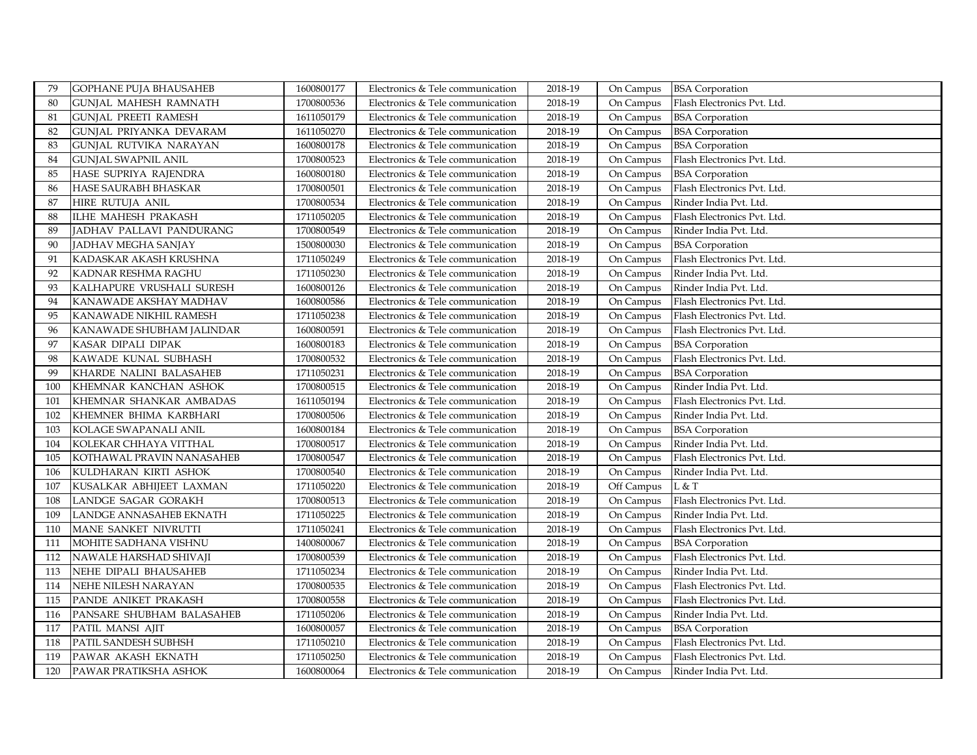| 79  | <b>GOPHANE PUJA BHAUSAHEB</b>  | 1600800177 | Electronics & Tele communication | 2018-19 | On Campus  | <b>BSA</b> Corporation      |
|-----|--------------------------------|------------|----------------------------------|---------|------------|-----------------------------|
| 80  | <b>GUNJAL MAHESH RAMNATH</b>   | 1700800536 | Electronics & Tele communication | 2018-19 | On Campus  | Flash Electronics Pvt. Ltd. |
| 81  | GUNIAL PREETI RAMESH           | 1611050179 | Electronics & Tele communication | 2018-19 | On Campus  | <b>BSA</b> Corporation      |
| 82  | GUNIAL PRIYANKA DEVARAM        | 1611050270 | Electronics & Tele communication | 2018-19 | On Campus  | <b>BSA</b> Corporation      |
| 83  | GUNJAL RUTVIKA NARAYAN         | 1600800178 | Electronics & Tele communication | 2018-19 | On Campus  | <b>BSA</b> Corporation      |
| 84  | <b>GUNJAL SWAPNIL ANIL</b>     | 1700800523 | Electronics & Tele communication | 2018-19 | On Campus  | Flash Electronics Pvt. Ltd. |
| 85  | HASE SUPRIYA RAJENDRA          | 1600800180 | Electronics & Tele communication | 2018-19 | On Campus  | <b>BSA</b> Corporation      |
| 86  | HASE SAURABH BHASKAR           | 1700800501 | Electronics & Tele communication | 2018-19 | On Campus  | Flash Electronics Pvt. Ltd. |
| 87  | HIRE RUTUJA ANIL               | 1700800534 | Electronics & Tele communication | 2018-19 | On Campus  | Rinder India Pvt. Ltd.      |
| 88  | <b>ILHE MAHESH PRAKASH</b>     | 1711050205 | Electronics & Tele communication | 2018-19 | On Campus  | Flash Electronics Pvt. Ltd. |
| 89  | JADHAV PALLAVI PANDURANG       | 1700800549 | Electronics & Tele communication | 2018-19 | On Campus  | Rinder India Pvt. Ltd.      |
| 90  | JADHAV MEGHA SANJAY            | 1500800030 | Electronics & Tele communication | 2018-19 | On Campus  | <b>BSA</b> Corporation      |
| 91  | KADASKAR AKASH KRUSHNA         | 1711050249 | Electronics & Tele communication | 2018-19 | On Campus  | Flash Electronics Pvt. Ltd. |
| 92  | KADNAR RESHMA RAGHU            | 1711050230 | Electronics & Tele communication | 2018-19 | On Campus  | Rinder India Pvt. Ltd.      |
| 93  | KALHAPURE VRUSHALI SURESH      | 1600800126 | Electronics & Tele communication | 2018-19 | On Campus  | Rinder India Pvt. Ltd.      |
| 94  | KANAWADE AKSHAY MADHAV         | 1600800586 | Electronics & Tele communication | 2018-19 | On Campus  | Flash Electronics Pvt. Ltd. |
| 95  | KANAWADE NIKHIL RAMESH         | 1711050238 | Electronics & Tele communication | 2018-19 | On Campus  | Flash Electronics Pvt. Ltd. |
| 96  | KANAWADE SHUBHAM JALINDAR      | 1600800591 | Electronics & Tele communication | 2018-19 | On Campus  | Flash Electronics Pvt. Ltd. |
| 97  | KASAR DIPALI DIPAK             | 1600800183 | Electronics & Tele communication | 2018-19 | On Campus  | <b>BSA</b> Corporation      |
| 98  | KAWADE KUNAL SUBHASH           | 1700800532 | Electronics & Tele communication | 2018-19 | On Campus  | Flash Electronics Pvt. Ltd. |
| 99  | KHARDE NALINI BALASAHEB        | 1711050231 | Electronics & Tele communication | 2018-19 | On Campus  | <b>BSA</b> Corporation      |
| 100 | KHEMNAR KANCHAN ASHOK          | 1700800515 | Electronics & Tele communication | 2018-19 | On Campus  | Rinder India Pvt. Ltd.      |
| 101 | KHEMNAR SHANKAR AMBADAS        | 1611050194 | Electronics & Tele communication | 2018-19 | On Campus  | Flash Electronics Pvt. Ltd. |
| 102 | KHEMNER BHIMA KARBHARI         | 1700800506 | Electronics & Tele communication | 2018-19 | On Campus  | Rinder India Pvt. Ltd.      |
| 103 | KOLAGE SWAPANALI ANIL          | 1600800184 | Electronics & Tele communication | 2018-19 | On Campus  | <b>BSA</b> Corporation      |
| 104 | KOLEKAR CHHAYA VITTHAL         | 1700800517 | Electronics & Tele communication | 2018-19 | On Campus  | Rinder India Pvt. Ltd.      |
| 105 | KOTHAWAL PRAVIN NANASAHEB      | 1700800547 | Electronics & Tele communication | 2018-19 | On Campus  | Flash Electronics Pvt. Ltd. |
| 106 | KULDHARAN KIRTI ASHOK          | 1700800540 | Electronics & Tele communication | 2018-19 | On Campus  | Rinder India Pvt. Ltd.      |
| 107 | KUSALKAR ABHIJEET LAXMAN       | 1711050220 | Electronics & Tele communication | 2018-19 | Off Campus | L & T                       |
| 108 | LANDGE SAGAR GORAKH            | 1700800513 | Electronics & Tele communication | 2018-19 | On Campus  | Flash Electronics Pvt. Ltd. |
| 109 | <b>LANDGE ANNASAHEB EKNATH</b> | 1711050225 | Electronics & Tele communication | 2018-19 | On Campus  | Rinder India Pvt. Ltd.      |
| 110 | MANE SANKET NIVRUTTI           | 1711050241 | Electronics & Tele communication | 2018-19 | On Campus  | Flash Electronics Pvt. Ltd. |
| 111 | MOHITE SADHANA VISHNU          | 1400800067 | Electronics & Tele communication | 2018-19 | On Campus  | <b>BSA</b> Corporation      |
| 112 | NAWALE HARSHAD SHIVAJI         | 1700800539 | Electronics & Tele communication | 2018-19 | On Campus  | Flash Electronics Pvt. Ltd. |
| 113 | NEHE DIPALI BHAUSAHEB          | 1711050234 | Electronics & Tele communication | 2018-19 | On Campus  | Rinder India Pvt. Ltd.      |
| 114 | NEHE NILESH NARAYAN            | 1700800535 | Electronics & Tele communication | 2018-19 | On Campus  | Flash Electronics Pvt. Ltd. |
| 115 | PANDE ANIKET PRAKASH           | 1700800558 | Electronics & Tele communication | 2018-19 | On Campus  | Flash Electronics Pvt. Ltd. |
| 116 | PANSARE SHUBHAM BALASAHEB      | 1711050206 | Electronics & Tele communication | 2018-19 | On Campus  | Rinder India Pvt. Ltd.      |
| 117 | PATIL MANSI AJIT               | 1600800057 | Electronics & Tele communication | 2018-19 | On Campus  | <b>BSA</b> Corporation      |
| 118 | PATIL SANDESH SUBHSH           | 1711050210 | Electronics & Tele communication | 2018-19 | On Campus  | Flash Electronics Pvt. Ltd. |
| 119 | PAWAR AKASH EKNATH             | 1711050250 | Electronics & Tele communication | 2018-19 | On Campus  | Flash Electronics Pvt. Ltd. |
| 120 | PAWAR PRATIKSHA ASHOK          | 1600800064 | Electronics & Tele communication | 2018-19 | On Campus  | Rinder India Pvt. Ltd.      |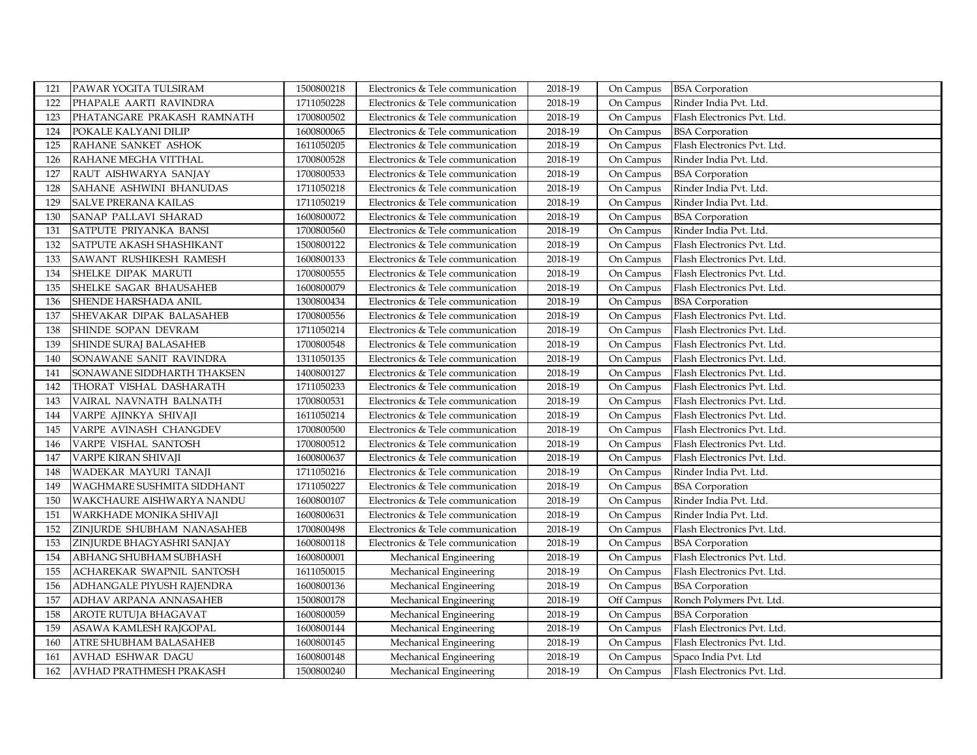| 121 | PAWAR YOGITA TULSIRAM       | 1500800218 | Electronics & Tele communication | 2018-19 | On Campus  | <b>BSA</b> Corporation      |
|-----|-----------------------------|------------|----------------------------------|---------|------------|-----------------------------|
| 122 | PHAPALE AARTI RAVINDRA      | 1711050228 | Electronics & Tele communication | 2018-19 | On Campus  | Rinder India Pvt. Ltd.      |
| 123 | PHATANGARE PRAKASH RAMNATH  | 1700800502 | Electronics & Tele communication | 2018-19 | On Campus  | Flash Electronics Pvt. Ltd. |
| 124 | POKALE KALYANI DILIP        | 1600800065 | Electronics & Tele communication | 2018-19 | On Campus  | <b>BSA</b> Corporation      |
| 125 | RAHANE SANKET ASHOK         | 1611050205 | Electronics & Tele communication | 2018-19 | On Campus  | Flash Electronics Pvt. Ltd. |
| 126 | RAHANE MEGHA VITTHAL        | 1700800528 | Electronics & Tele communication | 2018-19 | On Campus  | Rinder India Pvt. Ltd.      |
| 127 | RAUT AISHWARYA SANJAY       | 1700800533 | Electronics & Tele communication | 2018-19 | On Campus  | <b>BSA</b> Corporation      |
| 128 | SAHANE ASHWINI BHANUDAS     | 1711050218 | Electronics & Tele communication | 2018-19 | On Campus  | Rinder India Pvt. Ltd.      |
| 129 | <b>SALVE PRERANA KAILAS</b> | 1711050219 | Electronics & Tele communication | 2018-19 | On Campus  | Rinder India Pvt. Ltd.      |
| 130 | SANAP PALLAVI SHARAD        | 1600800072 | Electronics & Tele communication | 2018-19 | On Campus  | <b>BSA</b> Corporation      |
| 131 | SATPUTE PRIYANKA BANSI      | 1700800560 | Electronics & Tele communication | 2018-19 | On Campus  | Rinder India Pvt. Ltd.      |
| 132 | SATPUTE AKASH SHASHIKANT    | 1500800122 | Electronics & Tele communication | 2018-19 | On Campus  | Flash Electronics Pvt. Ltd. |
| 133 | SAWANT RUSHIKESH RAMESH     | 1600800133 | Electronics & Tele communication | 2018-19 | On Campus  | Flash Electronics Pvt. Ltd. |
| 134 | SHELKE DIPAK MARUTI         | 1700800555 | Electronics & Tele communication | 2018-19 | On Campus  | Flash Electronics Pvt. Ltd. |
| 135 | SHELKE SAGAR BHAUSAHEB      | 1600800079 | Electronics & Tele communication | 2018-19 | On Campus  | Flash Electronics Pvt. Ltd. |
| 136 | SHENDE HARSHADA ANIL        | 1300800434 | Electronics & Tele communication | 2018-19 | On Campus  | <b>BSA</b> Corporation      |
| 137 | SHEVAKAR DIPAK BALASAHEB    | 1700800556 | Electronics & Tele communication | 2018-19 | On Campus  | Flash Electronics Pvt. Ltd. |
| 138 | SHINDE SOPAN DEVRAM         | 1711050214 | Electronics & Tele communication | 2018-19 | On Campus  | Flash Electronics Pvt. Ltd. |
| 139 | SHINDE SURAJ BALASAHEB      | 1700800548 | Electronics & Tele communication | 2018-19 | On Campus  | Flash Electronics Pvt. Ltd. |
| 140 | SONAWANE SANIT RAVINDRA     | 1311050135 | Electronics & Tele communication | 2018-19 | On Campus  | Flash Electronics Pvt. Ltd. |
| 141 | SONAWANE SIDDHARTH THAKSEN  | 1400800127 | Electronics & Tele communication | 2018-19 | On Campus  | Flash Electronics Pvt. Ltd. |
| 142 | THORAT VISHAL DASHARATH     | 1711050233 | Electronics & Tele communication | 2018-19 | On Campus  | Flash Electronics Pvt. Ltd. |
| 143 | VAIRAL NAVNATH BALNATH      | 1700800531 | Electronics & Tele communication | 2018-19 | On Campus  | Flash Electronics Pvt. Ltd. |
| 144 | VARPE AJINKYA SHIVAJI       | 1611050214 | Electronics & Tele communication | 2018-19 | On Campus  | Flash Electronics Pvt. Ltd. |
| 145 | VARPE AVINASH CHANGDEV      | 1700800500 | Electronics & Tele communication | 2018-19 | On Campus  | Flash Electronics Pvt. Ltd. |
| 146 | VARPE VISHAL SANTOSH        | 1700800512 | Electronics & Tele communication | 2018-19 | On Campus  | Flash Electronics Pvt. Ltd. |
| 147 | VARPE KIRAN SHIVAJI         | 1600800637 | Electronics & Tele communication | 2018-19 | On Campus  | Flash Electronics Pvt. Ltd. |
| 148 | WADEKAR MAYURI TANAJI       | 1711050216 | Electronics & Tele communication | 2018-19 | On Campus  | Rinder India Pvt. Ltd.      |
| 149 | WAGHMARE SUSHMITA SIDDHANT  | 1711050227 | Electronics & Tele communication | 2018-19 | On Campus  | <b>BSA</b> Corporation      |
| 150 | WAKCHAURE AISHWARYA NANDU   | 1600800107 | Electronics & Tele communication | 2018-19 | On Campus  | Rinder India Pvt. Ltd.      |
| 151 | WARKHADE MONIKA SHIVAJI     | 1600800631 | Electronics & Tele communication | 2018-19 | On Campus  | Rinder India Pvt. Ltd.      |
| 152 | ZINJURDE SHUBHAM NANASAHEB  | 1700800498 | Electronics & Tele communication | 2018-19 | On Campus  | Flash Electronics Pvt. Ltd. |
| 153 | ZINJURDE BHAGYASHRI SANJAY  | 1600800118 | Electronics & Tele communication | 2018-19 | On Campus  | <b>BSA</b> Corporation      |
| 154 | ABHANG SHUBHAM SUBHASH      | 1600800001 | Mechanical Engineering           | 2018-19 | On Campus  | Flash Electronics Pvt. Ltd. |
| 155 | ACHAREKAR SWAPNIL SANTOSH   | 1611050015 | Mechanical Engineering           | 2018-19 | On Campus  | Flash Electronics Pvt. Ltd. |
| 156 | ADHANGALE PIYUSH RAJENDRA   | 1600800136 | Mechanical Engineering           | 2018-19 | On Campus  | <b>BSA</b> Corporation      |
| 157 | ADHAV ARPANA ANNASAHEB      | 1500800178 | Mechanical Engineering           | 2018-19 | Off Campus | Ronch Polymers Pvt. Ltd.    |
| 158 | AROTE RUTUJA BHAGAVAT       | 1600800059 | Mechanical Engineering           | 2018-19 | On Campus  | <b>BSA</b> Corporation      |
| 159 | ASAWA KAMLESH RAJGOPAL      | 1600800144 | Mechanical Engineering           | 2018-19 | On Campus  | Flash Electronics Pvt. Ltd. |
| 160 | ATRE SHUBHAM BALASAHEB      | 1600800145 | Mechanical Engineering           | 2018-19 | On Campus  | Flash Electronics Pvt. Ltd. |
| 161 | AVHAD ESHWAR DAGU           | 1600800148 | Mechanical Engineering           | 2018-19 | On Campus  | Spaco India Pvt. Ltd        |
| 162 | AVHAD PRATHMESH PRAKASH     | 1500800240 | Mechanical Engineering           | 2018-19 | On Campus  | Flash Electronics Pvt. Ltd. |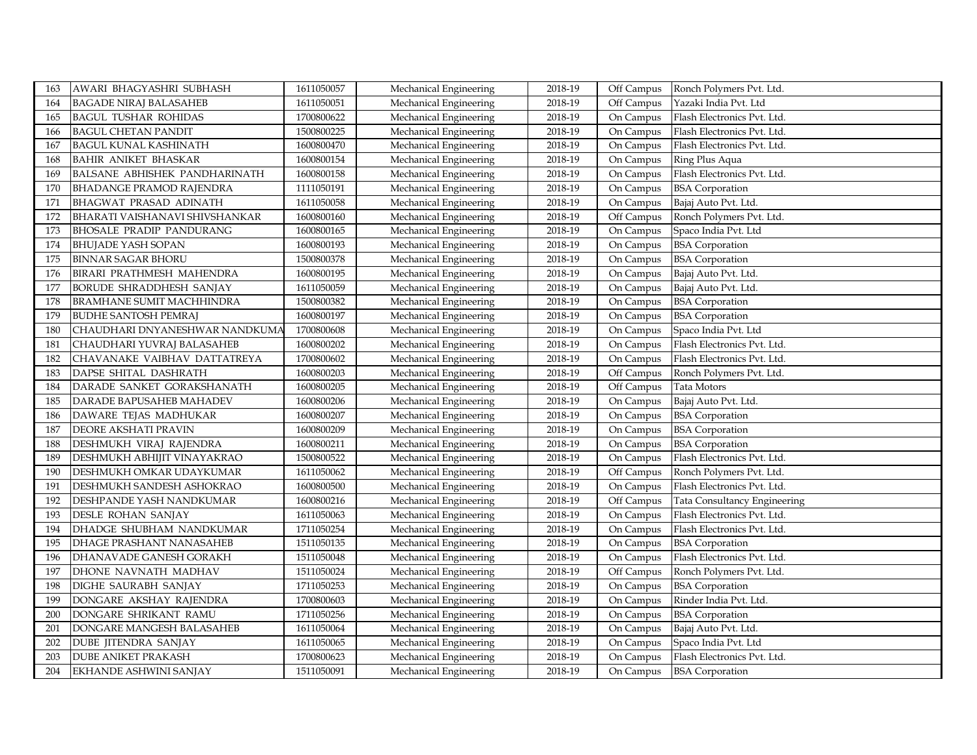| 163 | AWARI BHAGYASHRI SUBHASH         | 1611050057 | Mechanical Engineering | 2018-19 | Off Campus | Ronch Polymers Pvt. Ltd.            |
|-----|----------------------------------|------------|------------------------|---------|------------|-------------------------------------|
| 164 | <b>BAGADE NIRAJ BALASAHEB</b>    | 1611050051 | Mechanical Engineering | 2018-19 | Off Campus | Yazaki India Pvt. Ltd               |
| 165 | <b>BAGUL TUSHAR ROHIDAS</b>      | 1700800622 | Mechanical Engineering | 2018-19 | On Campus  | Flash Electronics Pvt. Ltd.         |
| 166 | <b>BAGUL CHETAN PANDIT</b>       | 1500800225 | Mechanical Engineering | 2018-19 | On Campus  | Flash Electronics Pvt. Ltd.         |
| 167 | <b>BAGUL KUNAL KASHINATH</b>     | 1600800470 | Mechanical Engineering | 2018-19 | On Campus  | Flash Electronics Pvt. Ltd.         |
| 168 | <b>BAHIR ANIKET BHASKAR</b>      | 1600800154 | Mechanical Engineering | 2018-19 | On Campus  | Ring Plus Aqua                      |
| 169 | BALSANE ABHISHEK PANDHARINATH    | 1600800158 | Mechanical Engineering | 2018-19 | On Campus  | Flash Electronics Pvt. Ltd.         |
| 170 | <b>BHADANGE PRAMOD RAJENDRA</b>  | 1111050191 | Mechanical Engineering | 2018-19 | On Campus  | <b>BSA</b> Corporation              |
| 171 | <b>BHAGWAT PRASAD ADINATH</b>    | 1611050058 | Mechanical Engineering | 2018-19 | On Campus  | Bajaj Auto Pvt. Ltd.                |
| 172 | BHARATI VAISHANAVI SHIVSHANKAR   | 1600800160 | Mechanical Engineering | 2018-19 | Off Campus | Ronch Polymers Pvt. Ltd.            |
| 173 | <b>BHOSALE PRADIP PANDURANG</b>  | 1600800165 | Mechanical Engineering | 2018-19 | On Campus  | Spaco India Pvt. Ltd                |
| 174 | <b>BHUJADE YASH SOPAN</b>        | 1600800193 | Mechanical Engineering | 2018-19 | On Campus  | <b>BSA</b> Corporation              |
| 175 | <b>BINNAR SAGAR BHORU</b>        | 1500800378 | Mechanical Engineering | 2018-19 | On Campus  | <b>BSA</b> Corporation              |
| 176 | BIRARI PRATHMESH MAHENDRA        | 1600800195 | Mechanical Engineering | 2018-19 | On Campus  | Bajaj Auto Pvt. Ltd.                |
| 177 | BORUDE SHRADDHESH SANJAY         | 1611050059 | Mechanical Engineering | 2018-19 | On Campus  | Bajaj Auto Pvt. Ltd.                |
| 178 | <b>BRAMHANE SUMIT MACHHINDRA</b> | 1500800382 | Mechanical Engineering | 2018-19 | On Campus  | <b>BSA</b> Corporation              |
| 179 | <b>BUDHE SANTOSH PEMRAJ</b>      | 1600800197 | Mechanical Engineering | 2018-19 | On Campus  | <b>BSA</b> Corporation              |
| 180 | CHAUDHARI DNYANESHWAR NANDKUMA   | 1700800608 | Mechanical Engineering | 2018-19 | On Campus  | Spaco India Pvt. Ltd                |
| 181 | CHAUDHARI YUVRAJ BALASAHEB       | 1600800202 | Mechanical Engineering | 2018-19 | On Campus  | Flash Electronics Pvt. Ltd.         |
| 182 | CHAVANAKE VAIBHAV DATTATREYA     | 1700800602 | Mechanical Engineering | 2018-19 | On Campus  | Flash Electronics Pvt. Ltd.         |
| 183 | DAPSE SHITAL DASHRATH            | 1600800203 | Mechanical Engineering | 2018-19 | Off Campus | Ronch Polymers Pvt. Ltd.            |
| 184 | DARADE SANKET GORAKSHANATH       | 1600800205 | Mechanical Engineering | 2018-19 | Off Campus | Tata Motors                         |
| 185 | DARADE BAPUSAHEB MAHADEV         | 1600800206 | Mechanical Engineering | 2018-19 | On Campus  | Bajaj Auto Pvt. Ltd.                |
| 186 | DAWARE TEJAS MADHUKAR            | 1600800207 | Mechanical Engineering | 2018-19 | On Campus  | <b>BSA</b> Corporation              |
| 187 | DEORE AKSHATI PRAVIN             | 1600800209 | Mechanical Engineering | 2018-19 | On Campus  | <b>BSA</b> Corporation              |
| 188 | DESHMUKH VIRAJ RAJENDRA          | 1600800211 | Mechanical Engineering | 2018-19 | On Campus  | <b>BSA</b> Corporation              |
| 189 | DESHMUKH ABHIJIT VINAYAKRAO      | 1500800522 | Mechanical Engineering | 2018-19 | On Campus  | Flash Electronics Pvt. Ltd.         |
| 190 | DESHMUKH OMKAR UDAYKUMAR         | 1611050062 | Mechanical Engineering | 2018-19 | Off Campus | Ronch Polymers Pvt. Ltd.            |
| 191 | DESHMUKH SANDESH ASHOKRAO        | 1600800500 | Mechanical Engineering | 2018-19 | On Campus  | Flash Electronics Pvt. Ltd.         |
| 192 | DESHPANDE YASH NANDKUMAR         | 1600800216 | Mechanical Engineering | 2018-19 | Off Campus | <b>Tata Consultancy Engineering</b> |
| 193 | DESLE ROHAN SANJAY               | 1611050063 | Mechanical Engineering | 2018-19 | On Campus  | Flash Electronics Pvt. Ltd.         |
| 194 | DHADGE SHUBHAM NANDKUMAR         | 1711050254 | Mechanical Engineering | 2018-19 | On Campus  | Flash Electronics Pvt. Ltd.         |
| 195 | DHAGE PRASHANT NANASAHEB         | 1511050135 | Mechanical Engineering | 2018-19 | On Campus  | <b>BSA</b> Corporation              |
| 196 | DHANAVADE GANESH GORAKH          | 1511050048 | Mechanical Engineering | 2018-19 | On Campus  | Flash Electronics Pvt. Ltd.         |
| 197 | DHONE NAVNATH MADHAV             | 1511050024 | Mechanical Engineering | 2018-19 | Off Campus | Ronch Polymers Pvt. Ltd.            |
| 198 | DIGHE SAURABH SANJAY             | 1711050253 | Mechanical Engineering | 2018-19 | On Campus  | <b>BSA</b> Corporation              |
| 199 | DONGARE AKSHAY RAJENDRA          | 1700800603 | Mechanical Engineering | 2018-19 | On Campus  | Rinder India Pvt. Ltd.              |
| 200 | DONGARE SHRIKANT RAMU            | 1711050256 | Mechanical Engineering | 2018-19 | On Campus  | <b>BSA</b> Corporation              |
| 201 | DONGARE MANGESH BALASAHEB        | 1611050064 | Mechanical Engineering | 2018-19 | On Campus  | Bajaj Auto Pvt. Ltd.                |
| 202 | DUBE JITENDRA SANJAY             | 1611050065 | Mechanical Engineering | 2018-19 | On Campus  | Spaco India Pvt. Ltd                |
| 203 | DUBE ANIKET PRAKASH              | 1700800623 | Mechanical Engineering | 2018-19 | On Campus  | Flash Electronics Pvt. Ltd.         |
| 204 | EKHANDE ASHWINI SANJAY           | 1511050091 | Mechanical Engineering | 2018-19 | On Campus  | <b>BSA</b> Corporation              |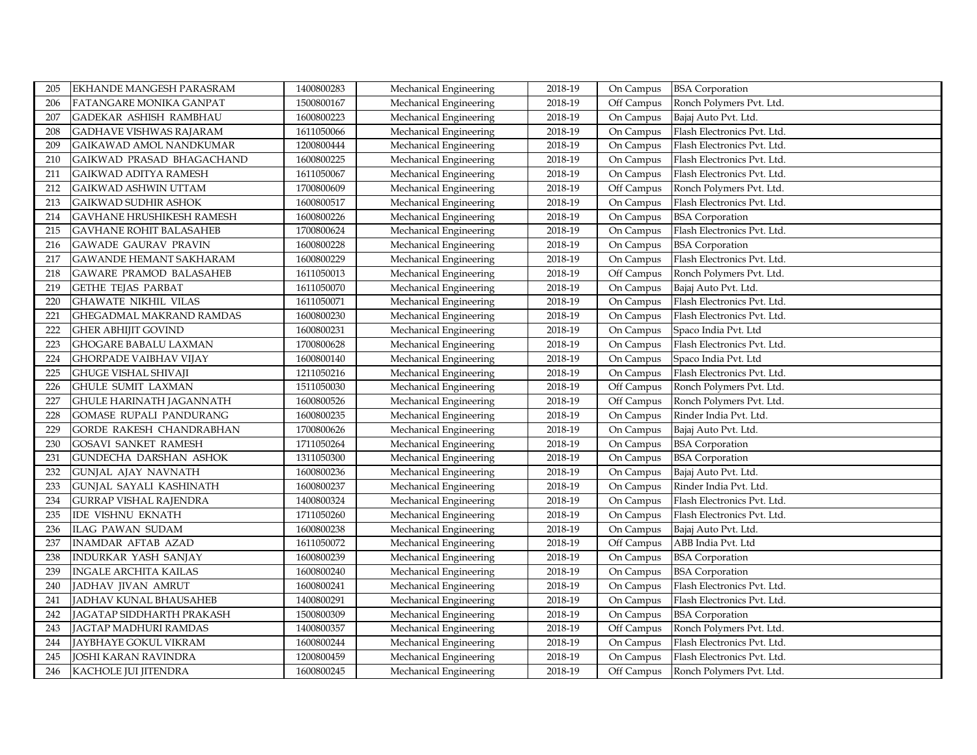| EKHANDE MANGESH PARASRAM         | 1400800283 | Mechanical Engineering | 2018-19 | On Campus  | <b>BSA</b> Corporation      |
|----------------------------------|------------|------------------------|---------|------------|-----------------------------|
| FATANGARE MONIKA GANPAT          | 1500800167 | Mechanical Engineering | 2018-19 | Off Campus | Ronch Polymers Pvt. Ltd.    |
| GADEKAR ASHISH RAMBHAU           | 1600800223 | Mechanical Engineering | 2018-19 | On Campus  | Bajaj Auto Pvt. Ltd.        |
| <b>GADHAVE VISHWAS RAJARAM</b>   | 1611050066 | Mechanical Engineering | 2018-19 | On Campus  | Flash Electronics Pvt. Ltd. |
| <b>GAIKAWAD AMOL NANDKUMAR</b>   | 1200800444 | Mechanical Engineering | 2018-19 | On Campus  | Flash Electronics Pvt. Ltd. |
| GAIKWAD PRASAD BHAGACHAND        | 1600800225 | Mechanical Engineering | 2018-19 | On Campus  | Flash Electronics Pvt. Ltd. |
| GAIKWAD ADITYA RAMESH            | 1611050067 | Mechanical Engineering | 2018-19 | On Campus  | Flash Electronics Pvt. Ltd. |
| GAIKWAD ASHWIN UTTAM             | 1700800609 | Mechanical Engineering | 2018-19 | Off Campus | Ronch Polymers Pvt. Ltd.    |
| GAIKWAD SUDHIR ASHOK             | 1600800517 | Mechanical Engineering | 2018-19 | On Campus  | Flash Electronics Pvt. Ltd. |
| <b>GAVHANE HRUSHIKESH RAMESH</b> | 1600800226 | Mechanical Engineering | 2018-19 | On Campus  | <b>BSA</b> Corporation      |
| <b>GAVHANE ROHIT BALASAHEB</b>   | 1700800624 | Mechanical Engineering | 2018-19 | On Campus  | Flash Electronics Pvt. Ltd. |
| <b>GAWADE GAURAV PRAVIN</b>      | 1600800228 | Mechanical Engineering | 2018-19 | On Campus  | <b>BSA</b> Corporation      |
| GAWANDE HEMANT SAKHARAM          | 1600800229 | Mechanical Engineering | 2018-19 | On Campus  | Flash Electronics Pvt. Ltd. |
| GAWARE PRAMOD BALASAHEB          | 1611050013 | Mechanical Engineering | 2018-19 | Off Campus | Ronch Polymers Pvt. Ltd.    |
| <b>GETHE TEJAS PARBAT</b>        | 1611050070 | Mechanical Engineering | 2018-19 | On Campus  | Bajaj Auto Pvt. Ltd.        |
| GHAWATE NIKHIL VILAS             | 1611050071 | Mechanical Engineering | 2018-19 | On Campus  | Flash Electronics Pvt. Ltd. |
| GHEGADMAL MAKRAND RAMDAS         | 1600800230 | Mechanical Engineering | 2018-19 | On Campus  | Flash Electronics Pvt. Ltd. |
| GHER ABHIJIT GOVIND              | 1600800231 | Mechanical Engineering | 2018-19 | On Campus  | Spaco India Pvt. Ltd        |
| <b>GHOGARE BABALU LAXMAN</b>     | 1700800628 | Mechanical Engineering | 2018-19 | On Campus  | Flash Electronics Pvt. Ltd. |
| <b>GHORPADE VAIBHAV VIJAY</b>    | 1600800140 | Mechanical Engineering | 2018-19 | On Campus  | Spaco India Pvt. Ltd        |
| GHUGE VISHAL SHIVAJI             | 1211050216 | Mechanical Engineering | 2018-19 | On Campus  | Flash Electronics Pvt. Ltd. |
| <b>GHULE SUMIT LAXMAN</b>        | 1511050030 | Mechanical Engineering | 2018-19 | Off Campus | Ronch Polymers Pvt. Ltd.    |
| <b>GHULE HARINATH JAGANNATH</b>  | 1600800526 | Mechanical Engineering | 2018-19 | Off Campus | Ronch Polymers Pvt. Ltd.    |
| GOMASE RUPALI PANDURANG          | 1600800235 | Mechanical Engineering | 2018-19 | On Campus  | Rinder India Pvt. Ltd.      |
| GORDE RAKESH CHANDRABHAN         | 1700800626 | Mechanical Engineering | 2018-19 | On Campus  | Bajaj Auto Pvt. Ltd.        |
| GOSAVI SANKET RAMESH             | 1711050264 | Mechanical Engineering | 2018-19 | On Campus  | <b>BSA</b> Corporation      |
| GUNDECHA DARSHAN ASHOK           | 1311050300 | Mechanical Engineering | 2018-19 | On Campus  | <b>BSA</b> Corporation      |
| <b>GUNJAL AJAY NAVNATH</b>       | 1600800236 | Mechanical Engineering | 2018-19 | On Campus  | Bajaj Auto Pvt. Ltd.        |
| <b>GUNJAL SAYALI KASHINATH</b>   | 1600800237 | Mechanical Engineering | 2018-19 | On Campus  | Rinder India Pvt. Ltd.      |
| <b>GURRAP VISHAL RAJENDRA</b>    | 1400800324 | Mechanical Engineering | 2018-19 | On Campus  | Flash Electronics Pvt. Ltd. |
| <b>IDE VISHNU EKNATH</b>         | 1711050260 | Mechanical Engineering | 2018-19 | On Campus  | Flash Electronics Pvt. Ltd. |
| <b>ILAG PAWAN SUDAM</b>          | 1600800238 | Mechanical Engineering | 2018-19 | On Campus  | Bajaj Auto Pvt. Ltd.        |
| <b>INAMDAR AFTAB AZAD</b>        | 1611050072 | Mechanical Engineering | 2018-19 | Off Campus | ABB India Pvt. Ltd          |
| INDURKAR YASH SANJAY             | 1600800239 | Mechanical Engineering | 2018-19 | On Campus  | <b>BSA</b> Corporation      |
| <b>INGALE ARCHITA KAILAS</b>     | 1600800240 | Mechanical Engineering | 2018-19 | On Campus  | <b>BSA</b> Corporation      |
| JADHAV JIVAN AMRUT               | 1600800241 | Mechanical Engineering | 2018-19 | On Campus  | Flash Electronics Pvt. Ltd. |
| JADHAV KUNAL BHAUSAHEB           | 1400800291 | Mechanical Engineering | 2018-19 | On Campus  | Flash Electronics Pvt. Ltd. |
| JAGATAP SIDDHARTH PRAKASH        | 1500800309 | Mechanical Engineering | 2018-19 | On Campus  | <b>BSA</b> Corporation      |
| JAGTAP MADHURI RAMDAS            | 1400800357 | Mechanical Engineering | 2018-19 | Off Campus | Ronch Polymers Pvt. Ltd.    |
| JAYBHAYE GOKUL VIKRAM            | 1600800244 | Mechanical Engineering | 2018-19 | On Campus  | Flash Electronics Pvt. Ltd. |
| JOSHI KARAN RAVINDRA             | 1200800459 | Mechanical Engineering | 2018-19 | On Campus  | Flash Electronics Pvt. Ltd. |
| <b>KACHOLE JUI JITENDRA</b>      | 1600800245 | Mechanical Engineering | 2018-19 | Off Campus | Ronch Polymers Pvt. Ltd.    |
|                                  |            |                        |         |            |                             |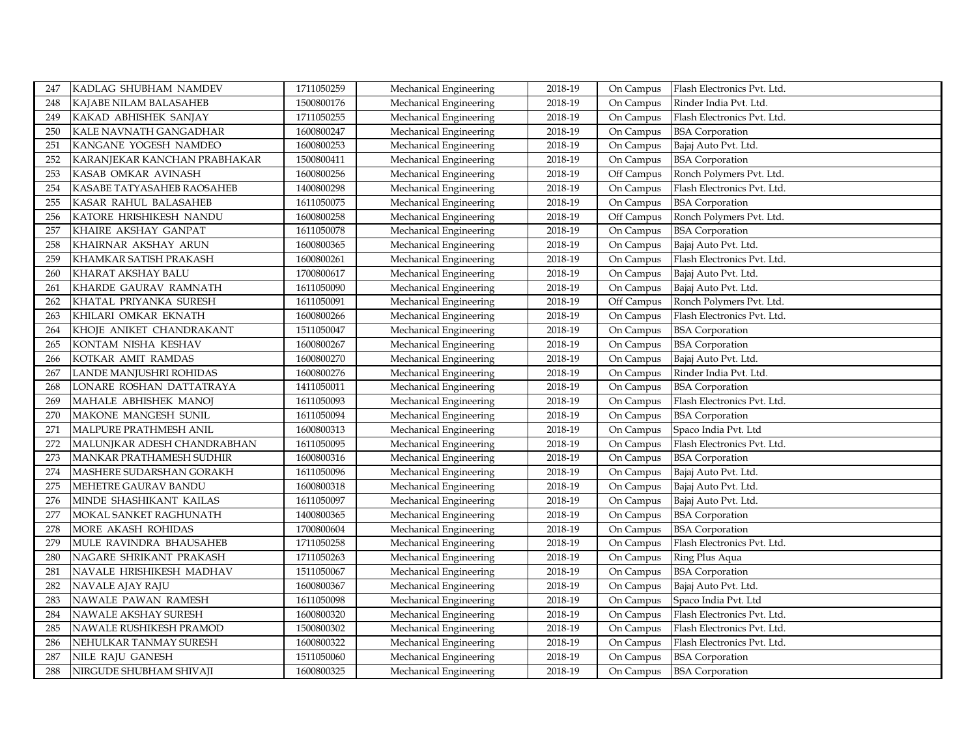| 247 | KADLAG SHUBHAM NAMDEV        | 1711050259 | Mechanical Engineering | 2018-19 | On Campus  | Flash Electronics Pvt. Ltd. |
|-----|------------------------------|------------|------------------------|---------|------------|-----------------------------|
| 248 | KAJABE NILAM BALASAHEB       | 1500800176 | Mechanical Engineering | 2018-19 | On Campus  | Rinder India Pvt. Ltd.      |
| 249 | KAKAD ABHISHEK SANJAY        | 1711050255 | Mechanical Engineering | 2018-19 | On Campus  | Flash Electronics Pvt. Ltd. |
| 250 | KALE NAVNATH GANGADHAR       | 1600800247 | Mechanical Engineering | 2018-19 | On Campus  | <b>BSA</b> Corporation      |
| 251 | KANGANE YOGESH NAMDEO        | 1600800253 | Mechanical Engineering | 2018-19 | On Campus  | Bajaj Auto Pvt. Ltd.        |
| 252 | KARANJEKAR KANCHAN PRABHAKAR | 1500800411 | Mechanical Engineering | 2018-19 | On Campus  | <b>BSA</b> Corporation      |
| 253 | KASAB OMKAR AVINASH          | 1600800256 | Mechanical Engineering | 2018-19 | Off Campus | Ronch Polymers Pvt. Ltd.    |
| 254 | KASABE TATYASAHEB RAOSAHEB   | 1400800298 | Mechanical Engineering | 2018-19 | On Campus  | Flash Electronics Pvt. Ltd. |
| 255 | KASAR RAHUL BALASAHEB        | 1611050075 | Mechanical Engineering | 2018-19 | On Campus  | <b>BSA</b> Corporation      |
| 256 | KATORE HRISHIKESH NANDU      | 1600800258 | Mechanical Engineering | 2018-19 | Off Campus | Ronch Polymers Pvt. Ltd.    |
| 257 | KHAIRE AKSHAY GANPAT         | 1611050078 | Mechanical Engineering | 2018-19 | On Campus  | <b>BSA</b> Corporation      |
| 258 | KHAIRNAR AKSHAY ARUN         | 1600800365 | Mechanical Engineering | 2018-19 | On Campus  | Bajaj Auto Pvt. Ltd.        |
| 259 | KHAMKAR SATISH PRAKASH       | 1600800261 | Mechanical Engineering | 2018-19 | On Campus  | Flash Electronics Pvt. Ltd. |
| 260 | KHARAT AKSHAY BALU           | 1700800617 | Mechanical Engineering | 2018-19 | On Campus  | Bajaj Auto Pvt. Ltd.        |
| 261 | KHARDE GAURAV RAMNATH        | 1611050090 | Mechanical Engineering | 2018-19 | On Campus  | Bajaj Auto Pvt. Ltd.        |
| 262 | KHATAL PRIYANKA SURESH       | 1611050091 | Mechanical Engineering | 2018-19 | Off Campus | Ronch Polymers Pvt. Ltd.    |
| 263 | KHILARI OMKAR EKNATH         | 1600800266 | Mechanical Engineering | 2018-19 | On Campus  | Flash Electronics Pvt. Ltd. |
| 264 | KHOJE ANIKET CHANDRAKANT     | 1511050047 | Mechanical Engineering | 2018-19 | On Campus  | <b>BSA</b> Corporation      |
| 265 | KONTAM NISHA KESHAV          | 1600800267 | Mechanical Engineering | 2018-19 | On Campus  | <b>BSA</b> Corporation      |
| 266 | KOTKAR AMIT RAMDAS           | 1600800270 | Mechanical Engineering | 2018-19 | On Campus  | Bajaj Auto Pvt. Ltd.        |
| 267 | LANDE MANJUSHRI ROHIDAS      | 1600800276 | Mechanical Engineering | 2018-19 | On Campus  | Rinder India Pvt. Ltd.      |
| 268 | LONARE ROSHAN DATTATRAYA     | 1411050011 | Mechanical Engineering | 2018-19 | On Campus  | <b>BSA</b> Corporation      |
| 269 | MAHALE ABHISHEK MANOJ        | 1611050093 | Mechanical Engineering | 2018-19 | On Campus  | Flash Electronics Pvt. Ltd. |
| 270 | MAKONE MANGESH SUNIL         | 1611050094 | Mechanical Engineering | 2018-19 | On Campus  | <b>BSA</b> Corporation      |
| 271 | MALPURE PRATHMESH ANIL       | 1600800313 | Mechanical Engineering | 2018-19 | On Campus  | Spaco India Pvt. Ltd        |
| 272 | MALUNJKAR ADESH CHANDRABHAN  | 1611050095 | Mechanical Engineering | 2018-19 | On Campus  | Flash Electronics Pvt. Ltd. |
| 273 | MANKAR PRATHAMESH SUDHIR     | 1600800316 | Mechanical Engineering | 2018-19 | On Campus  | <b>BSA</b> Corporation      |
| 274 | MASHERE SUDARSHAN GORAKH     | 1611050096 | Mechanical Engineering | 2018-19 | On Campus  | Bajaj Auto Pvt. Ltd.        |
| 275 | MEHETRE GAURAV BANDU         | 1600800318 | Mechanical Engineering | 2018-19 | On Campus  | Bajaj Auto Pvt. Ltd.        |
| 276 | MINDE SHASHIKANT KAILAS      | 1611050097 | Mechanical Engineering | 2018-19 | On Campus  | Bajaj Auto Pvt. Ltd.        |
| 277 | MOKAL SANKET RAGHUNATH       | 1400800365 | Mechanical Engineering | 2018-19 | On Campus  | <b>BSA</b> Corporation      |
| 278 | MORE AKASH ROHIDAS           | 1700800604 | Mechanical Engineering | 2018-19 | On Campus  | <b>BSA</b> Corporation      |
| 279 | MULE RAVINDRA BHAUSAHEB      | 1711050258 | Mechanical Engineering | 2018-19 | On Campus  | Flash Electronics Pvt. Ltd. |
| 280 | NAGARE SHRIKANT PRAKASH      | 1711050263 | Mechanical Engineering | 2018-19 | On Campus  | Ring Plus Aqua              |
| 281 | NAVALE HRISHIKESH MADHAV     | 1511050067 | Mechanical Engineering | 2018-19 | On Campus  | <b>BSA</b> Corporation      |
| 282 | NAVALE AJAY RAJU             | 1600800367 | Mechanical Engineering | 2018-19 | On Campus  | Bajaj Auto Pvt. Ltd.        |
| 283 | NAWALE PAWAN RAMESH          | 1611050098 | Mechanical Engineering | 2018-19 | On Campus  | Spaco India Pvt. Ltd        |
| 284 | NAWALE AKSHAY SURESH         | 1600800320 | Mechanical Engineering | 2018-19 | On Campus  | Flash Electronics Pvt. Ltd. |
| 285 | NAWALE RUSHIKESH PRAMOD      | 1500800302 | Mechanical Engineering | 2018-19 | On Campus  | Flash Electronics Pvt. Ltd. |
| 286 | NEHULKAR TANMAY SURESH       | 1600800322 | Mechanical Engineering | 2018-19 | On Campus  | Flash Electronics Pvt. Ltd. |
| 287 | NILE RAJU GANESH             | 1511050060 | Mechanical Engineering | 2018-19 | On Campus  | <b>BSA</b> Corporation      |
| 288 | NIRGUDE SHUBHAM SHIVAJI      | 1600800325 | Mechanical Engineering | 2018-19 | On Campus  | <b>BSA</b> Corporation      |
|     |                              |            |                        |         |            |                             |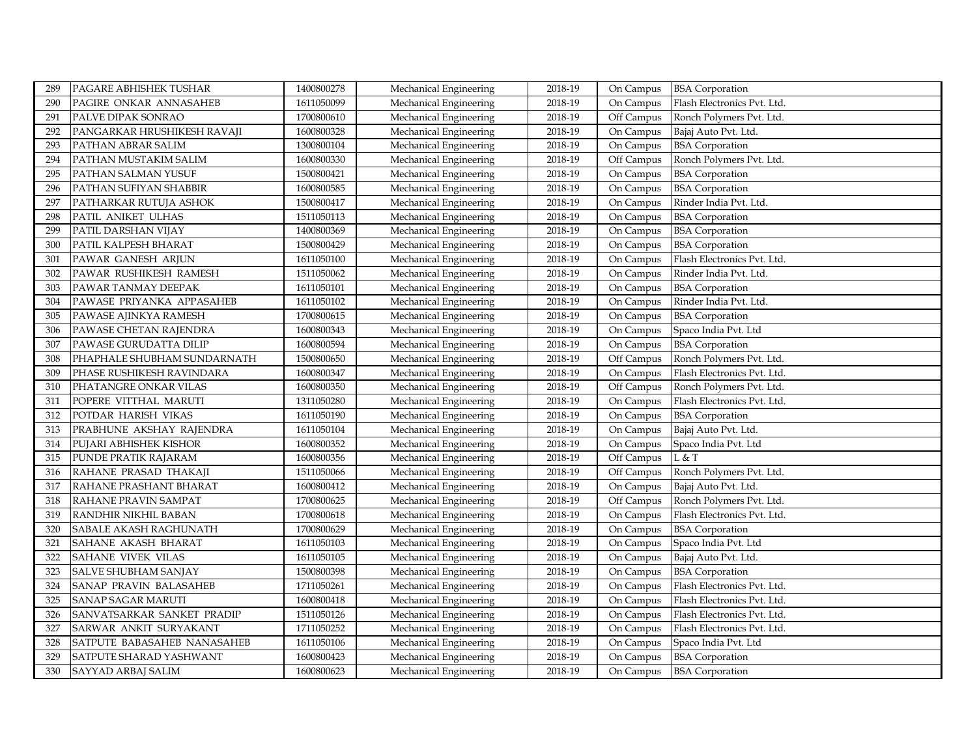| 289 | PAGARE ABHISHEK TUSHAR      | 1400800278 | Mechanical Engineering | 2018-19 | On Campus  | <b>BSA</b> Corporation      |
|-----|-----------------------------|------------|------------------------|---------|------------|-----------------------------|
| 290 | PAGIRE ONKAR ANNASAHEB      | 1611050099 | Mechanical Engineering | 2018-19 | On Campus  | Flash Electronics Pvt. Ltd. |
| 291 | PALVE DIPAK SONRAO          | 1700800610 | Mechanical Engineering | 2018-19 | Off Campus | Ronch Polymers Pvt. Ltd.    |
| 292 | PANGARKAR HRUSHIKESH RAVAJI | 1600800328 | Mechanical Engineering | 2018-19 | On Campus  | Bajaj Auto Pvt. Ltd.        |
| 293 | PATHAN ABRAR SALIM          | 1300800104 | Mechanical Engineering | 2018-19 | On Campus  | <b>BSA</b> Corporation      |
| 294 | PATHAN MUSTAKIM SALIM       | 1600800330 | Mechanical Engineering | 2018-19 | Off Campus | Ronch Polymers Pvt. Ltd.    |
| 295 | PATHAN SALMAN YUSUF         | 1500800421 | Mechanical Engineering | 2018-19 | On Campus  | <b>BSA</b> Corporation      |
| 296 | PATHAN SUFIYAN SHABBIR      | 1600800585 | Mechanical Engineering | 2018-19 | On Campus  | <b>BSA</b> Corporation      |
| 297 | PATHARKAR RUTUJA ASHOK      | 1500800417 | Mechanical Engineering | 2018-19 | On Campus  | Rinder India Pvt. Ltd.      |
| 298 | PATIL ANIKET ULHAS          | 1511050113 | Mechanical Engineering | 2018-19 | On Campus  | <b>BSA</b> Corporation      |
| 299 | PATIL DARSHAN VIJAY         | 1400800369 | Mechanical Engineering | 2018-19 | On Campus  | <b>BSA</b> Corporation      |
| 300 | PATIL KALPESH BHARAT        | 1500800429 | Mechanical Engineering | 2018-19 | On Campus  | <b>BSA</b> Corporation      |
| 301 | PAWAR GANESH ARJUN          | 1611050100 | Mechanical Engineering | 2018-19 | On Campus  | Flash Electronics Pvt. Ltd. |
| 302 | PAWAR RUSHIKESH RAMESH      | 1511050062 | Mechanical Engineering | 2018-19 | On Campus  | Rinder India Pvt. Ltd.      |
| 303 | PAWAR TANMAY DEEPAK         | 1611050101 | Mechanical Engineering | 2018-19 | On Campus  | <b>BSA</b> Corporation      |
| 304 | PAWASE PRIYANKA APPASAHEB   | 1611050102 | Mechanical Engineering | 2018-19 | On Campus  | Rinder India Pvt. Ltd.      |
| 305 | PAWASE AJINKYA RAMESH       | 1700800615 | Mechanical Engineering | 2018-19 | On Campus  | <b>BSA</b> Corporation      |
| 306 | PAWASE CHETAN RAJENDRA      | 1600800343 | Mechanical Engineering | 2018-19 | On Campus  | Spaco India Pvt. Ltd        |
| 307 | PAWASE GURUDATTA DILIP      | 1600800594 | Mechanical Engineering | 2018-19 | On Campus  | <b>BSA</b> Corporation      |
| 308 | PHAPHALE SHUBHAM SUNDARNATH | 1500800650 | Mechanical Engineering | 2018-19 | Off Campus | Ronch Polymers Pvt. Ltd.    |
| 309 | PHASE RUSHIKESH RAVINDARA   | 1600800347 | Mechanical Engineering | 2018-19 | On Campus  | Flash Electronics Pvt. Ltd. |
| 310 | PHATANGRE ONKAR VILAS       | 1600800350 | Mechanical Engineering | 2018-19 | Off Campus | Ronch Polymers Pvt. Ltd.    |
| 311 | POPERE VITTHAL MARUTI       | 1311050280 | Mechanical Engineering | 2018-19 | On Campus  | Flash Electronics Pvt. Ltd. |
| 312 | POTDAR HARISH VIKAS         | 1611050190 | Mechanical Engineering | 2018-19 | On Campus  | <b>BSA</b> Corporation      |
| 313 | PRABHUNE AKSHAY RAJENDRA    | 1611050104 | Mechanical Engineering | 2018-19 | On Campus  | Bajaj Auto Pvt. Ltd.        |
| 314 | PUJARI ABHISHEK KISHOR      | 1600800352 | Mechanical Engineering | 2018-19 | On Campus  | Spaco India Pvt. Ltd        |
| 315 | PUNDE PRATIK RAJARAM        | 1600800356 | Mechanical Engineering | 2018-19 | Off Campus | L & T                       |
| 316 | RAHANE PRASAD THAKAJI       | 1511050066 | Mechanical Engineering | 2018-19 | Off Campus | Ronch Polymers Pvt. Ltd.    |
| 317 | RAHANE PRASHANT BHARAT      | 1600800412 | Mechanical Engineering | 2018-19 | On Campus  | Bajaj Auto Pvt. Ltd.        |
| 318 | RAHANE PRAVIN SAMPAT        | 1700800625 | Mechanical Engineering | 2018-19 | Off Campus | Ronch Polymers Pvt. Ltd.    |
| 319 | RANDHIR NIKHIL BABAN        | 1700800618 | Mechanical Engineering | 2018-19 | On Campus  | Flash Electronics Pvt. Ltd. |
| 320 | SABALE AKASH RAGHUNATH      | 1700800629 | Mechanical Engineering | 2018-19 | On Campus  | <b>BSA</b> Corporation      |
| 321 | SAHANE AKASH BHARAT         | 1611050103 | Mechanical Engineering | 2018-19 | On Campus  | Spaco India Pvt. Ltd        |
| 322 | SAHANE VIVEK VILAS          | 1611050105 | Mechanical Engineering | 2018-19 | On Campus  | Bajaj Auto Pvt. Ltd.        |
| 323 | SALVE SHUBHAM SANJAY        | 1500800398 | Mechanical Engineering | 2018-19 | On Campus  | <b>BSA</b> Corporation      |
| 324 | SANAP PRAVIN BALASAHEB      | 1711050261 | Mechanical Engineering | 2018-19 | On Campus  | Flash Electronics Pvt. Ltd. |
| 325 | <b>SANAP SAGAR MARUTI</b>   | 1600800418 | Mechanical Engineering | 2018-19 | On Campus  | Flash Electronics Pvt. Ltd. |
| 326 | SANVATSARKAR SANKET PRADIP  | 1511050126 | Mechanical Engineering | 2018-19 | On Campus  | Flash Electronics Pvt. Ltd. |
| 327 | SARWAR ANKIT SURYAKANT      | 1711050252 | Mechanical Engineering | 2018-19 | On Campus  | Flash Electronics Pvt. Ltd. |
| 328 | SATPUTE BABASAHEB NANASAHEB | 1611050106 | Mechanical Engineering | 2018-19 | On Campus  | Spaco India Pvt. Ltd        |
| 329 | SATPUTE SHARAD YASHWANT     | 1600800423 | Mechanical Engineering | 2018-19 | On Campus  | <b>BSA</b> Corporation      |
| 330 | <b>SAYYAD ARBAJ SALIM</b>   | 1600800623 | Mechanical Engineering | 2018-19 | On Campus  | <b>BSA</b> Corporation      |